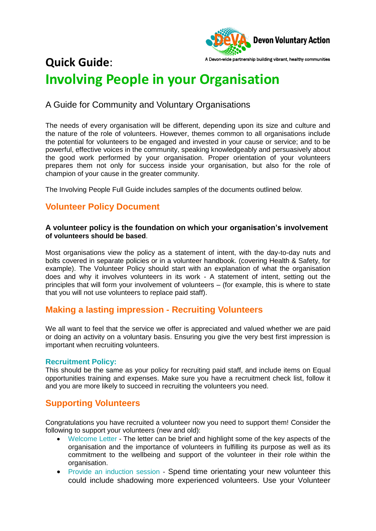

## A Devon-wide partnership building vibrant, healthy communities **Quick Guide**: **Involving People in your Organisation**

# A Guide for Community and Voluntary Organisations

The needs of every organisation will be different, depending upon its size and culture and the nature of the role of volunteers. However, themes common to all organisations include the potential for volunteers to be engaged and invested in your cause or service; and to be powerful, effective voices in the community, speaking knowledgeably and persuasively about the good work performed by your organisation. Proper orientation of your volunteers prepares them not only for success inside your organisation, but also for the role of champion of your cause in the greater community.

The Involving People Full Guide includes samples of the documents outlined below.

## **Volunteer Policy Document**

### **A volunteer policy is the foundation on which your organisation's involvement of volunteers should be based**.

Most organisations view the policy as a statement of intent, with the day-to-day nuts and bolts covered in separate policies or in a volunteer handbook. (covering Health & Safety, for example). The Volunteer Policy should start with an explanation of what the organisation does and why it involves volunteers in its work - A statement of intent, setting out the principles that will form your involvement of volunteers – (for example, this is where to state that you will not use volunteers to replace paid staff).

### **Making a lasting impression - Recruiting Volunteers**

We all want to feel that the service we offer is appreciated and valued whether we are paid or doing an activity on a voluntary basis. Ensuring you give the very best first impression is important when recruiting volunteers.

### **Recruitment Policy:**

This should be the same as your policy for recruiting paid staff, and include items on Equal opportunities training and expenses. Make sure you have a recruitment check list, follow it and you are more likely to succeed in recruiting the volunteers you need.

### **Supporting Volunteers**

Congratulations you have recruited a volunteer now you need to support them! Consider the following to support your volunteers (new and old):

- Welcome Letter The letter can be brief and highlight some of the key aspects of the organisation and the importance of volunteers in fulfilling its purpose as well as its commitment to the wellbeing and support of the volunteer in their role within the organisation.
- Provide an induction session Spend time orientating your new volunteer this could include shadowing more experienced volunteers. Use your Volunteer